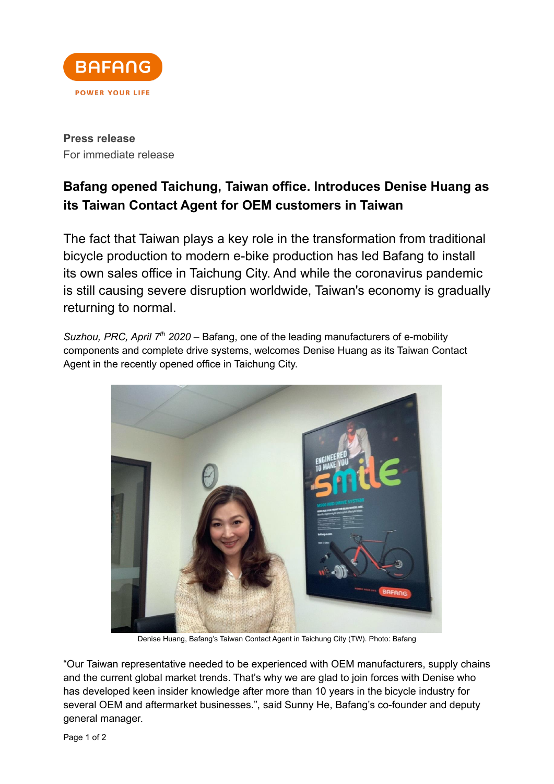

**Press release** For immediate release

## **Bafang opened Taichung, Taiwan office. Introduces Denise Huang as its Taiwan Contact Agent for OEM customers in Taiwan**

The fact that Taiwan plays a key role in the transformation from traditional bicycle production to modern e-bike production has led Bafang to install its own sales office in Taichung City. And while the coronavirus pandemic is still causing severe disruption worldwide, Taiwan's economy is gradually returning to normal.

*Suzhou, PRC, April 7<sup>th</sup> 2020* – Bafang, one of the leading manufacturers of e-mobility components and complete drive systems, welcomes Denise Huang as its Taiwan Contact Agent in the recently opened office in Taichung City.



Denise Huang, Bafang's Taiwan Contact Agent in Taichung City (TW). Photo: Bafang

"Our Taiwan representative needed to be experienced with OEM manufacturers, supply chains and the current global market trends. That's why we are glad to join forces with Denise who has developed keen insider knowledge after more than 10 years in the bicycle industry for several OEM and aftermarket businesses.", said Sunny He, Bafang's co-founder and deputy general manager.